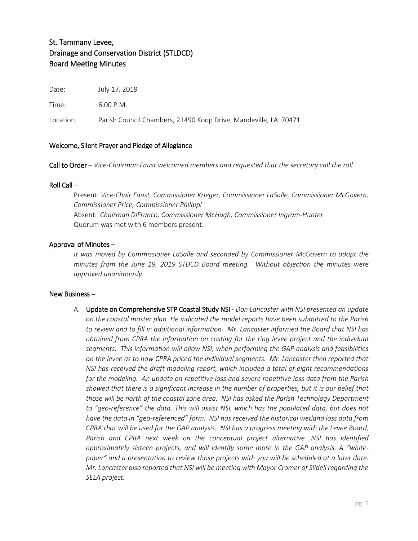# St. Tammany Levee, Drainage and Conservation District (STLDCD) Board Meeting Minutes

Date: July 17, 2019

Time: 6:00 P.M.

Location: Parish Council Chambers, 21490 Koop Drive, Mandeville, LA 70471

# Welcome, Silent Prayer and Pledge of Allegiance

Call to Order – *Vice-Chairman Faust welcomed members and requested that the secretary call the roll*

#### Roll Call –

Present: *Vice-Chair Faust, Commissioner Krieger, Commissioner LaSalle, Commissioner McGovern, Commissioner Price, Commissioner Philippi* Absent: *Chairman DiFranco, Commissioner McHugh, Commissioner Ingram-Hunter* Quorum was met with 6 members present.

# Approval of Minutes –

*It was moved by Commissioner LaSalle and seconded by Commissioner McGovern to adopt the minutes from the June 19, 2019 STDCD Board meeting. Without objection the minutes were approved unanimously*.

#### New Business –

A. Update on Comprehensive STP Coastal Study NSI - *Don Lancaster with NSI presented an update on the coastal master plan. He indicated the model reports have been submitted to the Parish to review and to fill in additional information. Mr. Lancaster informed the Board that NSI has obtained from CPRA the information on costing for the ring levee project and the individual segments. This information will allow NSI, when performing the GAP analysis and feasibilities on the levee as to how CPRA priced the individual segments. Mr. Lancaster then reported that NSI has received the draft modeling report, which included a total of eight recommendations for the modeling. An update on repetitive loss and severe repetitive loss data from the Parish showed that there is a significant increase in the number of properties, but it is our belief that those will be north of the coastal zone area. NSI has asked the Parish Technology Department to "geo-reference" the data. This will assist NSI, which has the populated data, but does not have the data in "geo-referenced" form. NSI has received the historical wetland loss data from CPRA that will be used for the GAP analysis. NSI has a progress meeting with the Levee Board, Parish and CPRA next week on the conceptual project alternative. NSI has identified*  approximately sixteen projects, and will identify some more in the GAP analysis. A "white*paper" and a presentation to review those projects with you will be scheduled at a later date. Mr. Lancaster also reported that NSI will be meeting with Mayor Cromer of Slidell regarding the SELA project.*